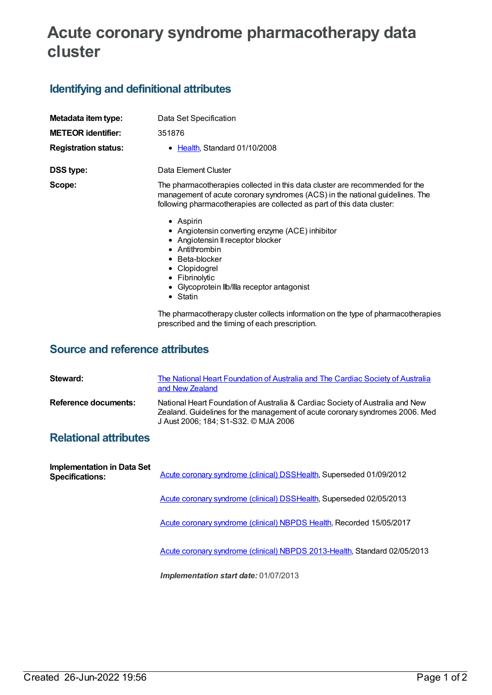# **Acute coronary syndrome pharmacotherapy data cluster**

### **Identifying and definitional attributes**

| Metadata item type:         | Data Set Specification                                                                                                                                                                                                                                       |
|-----------------------------|--------------------------------------------------------------------------------------------------------------------------------------------------------------------------------------------------------------------------------------------------------------|
| <b>METEOR identifier:</b>   | 351876                                                                                                                                                                                                                                                       |
| <b>Registration status:</b> | $\bullet$ Health, Standard 01/10/2008                                                                                                                                                                                                                        |
| <b>DSS type:</b>            | Data Element Cluster                                                                                                                                                                                                                                         |
| Scope:                      | The pharmacotherapies collected in this data cluster are recommended for the<br>management of acute coronary syndromes (ACS) in the national guidelines. The<br>following pharmacotherapies are collected as part of this data cluster:<br>$\bullet$ Aspirin |
|                             | • Angiotensin converting enzyme (ACE) inhibitor                                                                                                                                                                                                              |
|                             | • Angiotensin II receptor blocker<br>• Antithrombin                                                                                                                                                                                                          |
|                             | • Beta-blocker                                                                                                                                                                                                                                               |
|                             | • Clopidogrel<br>• Fibrinolytic                                                                                                                                                                                                                              |
|                             | • Glycoprotein Ilb/Illa receptor antagonist                                                                                                                                                                                                                  |
|                             | • Statin                                                                                                                                                                                                                                                     |
|                             | The pharmacotherapy cluster collects information on the type of pharmacotherapies<br>prescribed and the timing of each prescription.                                                                                                                         |

#### **Source and reference attributes**

| Steward:             | The National Heart Foundation of Australia and The Cardiac Society of Australia<br>and New Zealand                                                                                                    |
|----------------------|-------------------------------------------------------------------------------------------------------------------------------------------------------------------------------------------------------|
| Reference documents: | National Heart Foundation of Australia & Cardiac Society of Australia and New<br>Zealand. Guidelines for the management of acute coronary syndromes 2006. Med<br>J Aust 2006; 184; S1-S32. © MJA 2006 |

### **Relational attributes**

| Implementation in Data Set<br><b>Specifications:</b> | Acute coronary syndrome (clinical) DSSHealth, Superseded 01/09/2012       |  |
|------------------------------------------------------|---------------------------------------------------------------------------|--|
|                                                      | Acute coronary syndrome (clinical) DSSHealth, Superseded 02/05/2013       |  |
|                                                      | Acute coronary syndrome (clinical) NBPDS Health, Recorded 15/05/2017      |  |
|                                                      | Acute coronary syndrome (clinical) NBPDS 2013-Health, Standard 02/05/2013 |  |
|                                                      | <b>Implementation start date: 01/07/2013</b>                              |  |